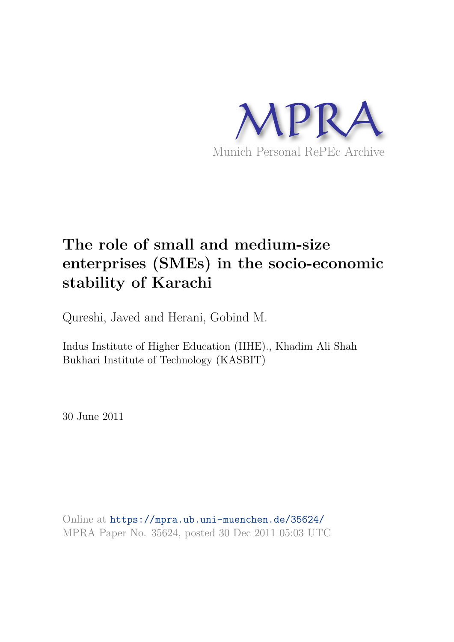

# **The role of small and medium-size enterprises (SMEs) in the socio-economic stability of Karachi**

Qureshi, Javed and Herani, Gobind M.

Indus Institute of Higher Education (IIHE)., Khadim Ali Shah Bukhari Institute of Technology (KASBIT)

30 June 2011

Online at https://mpra.ub.uni-muenchen.de/35624/ MPRA Paper No. 35624, posted 30 Dec 2011 05:03 UTC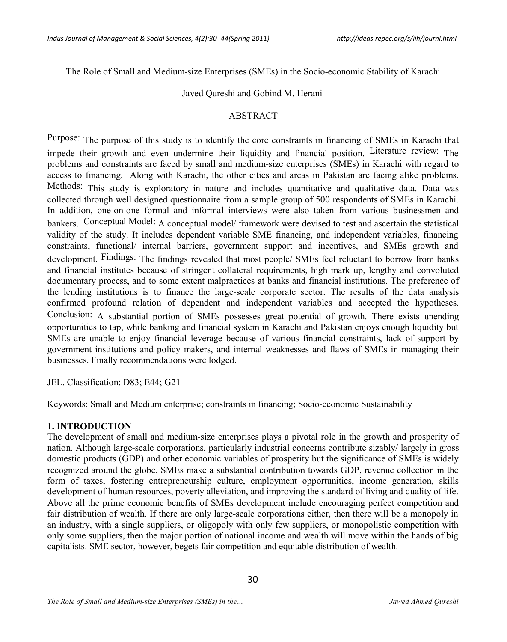The Role of Small and Medium-size Enterprises (SMEs) in the Socio-economic Stability of Karachi

#### Javed Qureshi and Gobind M. Herani

#### ABSTRACT

Purpose: The purpose of this study is to identify the core constraints in financing of SMEs in Karachi that impede their growth and even undermine their liquidity and financial position. Literature review: The problems and constraints are faced by small and medium-size enterprises (SMEs) in Karachi with regard to access to financing. Along with Karachi, the other cities and areas in Pakistan are facing alike problems. Methods: This study is exploratory in nature and includes quantitative and qualitative data. Data was collected through well designed questionnaire from a sample group of 500 respondents of SMEs in Karachi. In addition, one-on-one formal and informal interviews were also taken from various businessmen and bankers. Conceptual Model: A conceptual model/ framework were devised to test and ascertain the statistical validity of the study. It includes dependent variable SME financing, and independent variables, financing constraints, functional/ internal barriers, government support and incentives, and SMEs growth and development. Findings: The findings revealed that most people/ SMEs feel reluctant to borrow from banks and financial institutes because of stringent collateral requirements, high mark up, lengthy and convoluted documentary process, and to some extent malpractices at banks and financial institutions. The preference of the lending institutions is to finance the large-scale corporate sector. The results of the data analysis confirmed profound relation of dependent and independent variables and accepted the hypotheses. Conclusion: A substantial portion of SMEs possesses great potential of growth. There exists unending opportunities to tap, while banking and financial system in Karachi and Pakistan enjoys enough liquidity but SMEs are unable to enjoy financial leverage because of various financial constraints, lack of support by government institutions and policy makers, and internal weaknesses and flaws of SMEs in managing their businesses. Finally recommendations were lodged.

JEL. Classification: D83; E44; G21

Keywords: Small and Medium enterprise; constraints in financing; Socio-economic Sustainability

### **1. INTRODUCTION**

The development of small and medium-size enterprises plays a pivotal role in the growth and prosperity of nation. Although large-scale corporations, particularly industrial concerns contribute sizably/ largely in gross domestic products (GDP) and other economic variables of prosperity but the significance of SMEs is widely recognized around the globe. SMEs make a substantial contribution towards GDP, revenue collection in the form of taxes, fostering entrepreneurship culture, employment opportunities, income generation, skills development of human resources, poverty alleviation, and improving the standard of living and quality of life. Above all the prime economic benefits of SMEs development include encouraging perfect competition and fair distribution of wealth. If there are only large-scale corporations either, then there will be a monopoly in an industry, with a single suppliers, or oligopoly with only few suppliers, or monopolistic competition with only some suppliers, then the major portion of national income and wealth will move within the hands of big capitalists. SME sector, however, begets fair competition and equitable distribution of wealth.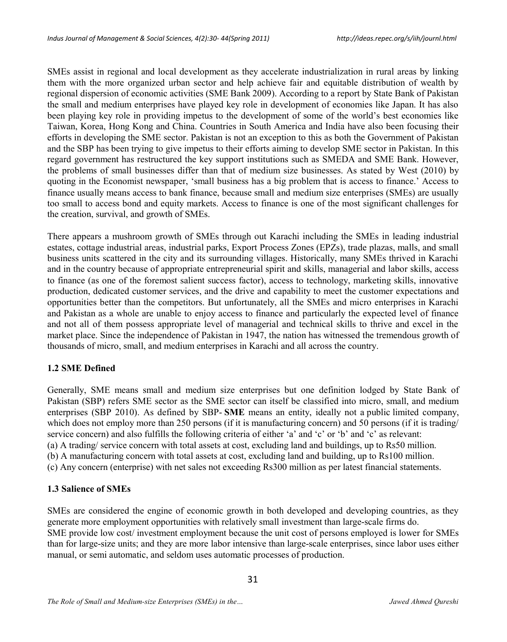SMEs assist in regional and local development as they accelerate industrialization in rural areas by linking them with the more organized urban sector and help achieve fair and equitable distribution of wealth by regional dispersion of economic activities (SME Bank 2009). According to a report by State Bank of Pakistan the small and medium enterprises have played key role in development of economies like Japan. It has also been playing key role in providing impetus to the development of some of the world's best economies like Taiwan, Korea, Hong Kong and China. Countries in South America and India have also been focusing their efforts in developing the SME sector. Pakistan is not an exception to this as both the Government of Pakistan and the SBP has been trying to give impetus to their efforts aiming to develop SME sector in Pakistan. In this regard government has restructured the key support institutions such as SMEDA and SME Bank. However, the problems of small businesses differ than that of medium size businesses. As stated by West (2010) by quoting in the Economist newspaper, 'small business has a big problem that is access to finance.' Access to finance usually means access to bank finance, because small and medium size enterprises (SMEs) are usually too small to access bond and equity markets. Access to finance is one of the most significant challenges for the creation, survival, and growth of SMEs.

There appears a mushroom growth of SMEs through out Karachi including the SMEs in leading industrial estates, cottage industrial areas, industrial parks, Export Process Zones (EPZs), trade plazas, malls, and small business units scattered in the city and its surrounding villages. Historically, many SMEs thrived in Karachi and in the country because of appropriate entrepreneurial spirit and skills, managerial and labor skills, access to finance (as one of the foremost salient success factor), access to technology, marketing skills, innovative production, dedicated customer services, and the drive and capability to meet the customer expectations and opportunities better than the competitors. But unfortunately, all the SMEs and micro enterprises in Karachi and Pakistan as a whole are unable to enjoy access to finance and particularly the expected level of finance and not all of them possess appropriate level of managerial and technical skills to thrive and excel in the market place. Since the independence of Pakistan in 1947, the nation has witnessed the tremendous growth of thousands of micro, small, and medium enterprises in Karachi and all across the country.

### **1.2 SME Defined**

Generally, SME means small and medium size enterprises but one definition lodged by State Bank of Pakistan (SBP) refers SME sector as the SME sector can itself be classified into micro, small, and medium enterprises (SBP 2010). As defined by SBP- **SME** means an entity, ideally not a public limited company, which does not employ more than 250 persons (if it is manufacturing concern) and 50 persons (if it is trading/ service concern) and also fulfills the following criteria of either 'a' and 'c' or 'b' and 'c' as relevant: (a) A trading/ service concern with total assets at cost, excluding land and buildings, up to Rs50 million. (b) A manufacturing concern with total assets at cost, excluding land and building, up to Rs100 million. (c) Any concern (enterprise) with net sales not exceeding Rs300 million as per latest financial statements.

### **1.3 Salience of SMEs**

SMEs are considered the engine of economic growth in both developed and developing countries, as they generate more employment opportunities with relatively small investment than large-scale firms do. SME provide low cost/ investment employment because the unit cost of persons employed is lower for SMEs than for large-size units; and they are more labor intensive than large-scale enterprises, since labor uses either manual, or semi automatic, and seldom uses automatic processes of production.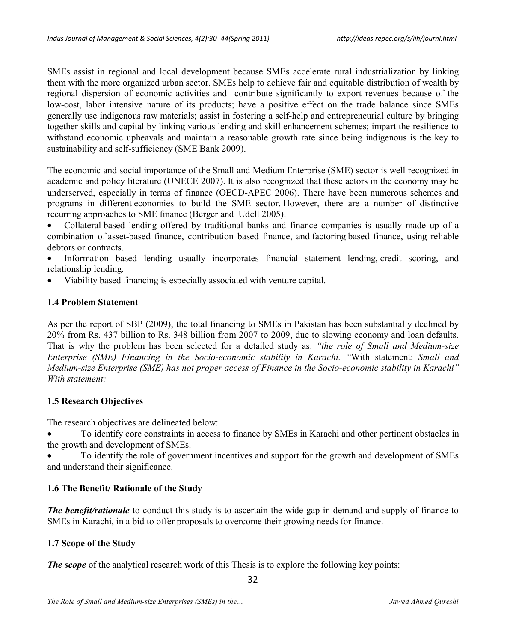SMEs assist in regional and local development because SMEs accelerate rural industrialization by linking them with the more organized urban sector. SMEs help to achieve fair and equitable distribution of wealth by regional dispersion of economic activities and contribute significantly to export revenues because of the low-cost, labor intensive nature of its products; have a positive effect on the trade balance since SMEs generally use indigenous raw materials; assist in fostering a self-help and entrepreneurial culture by bringing together skills and capital by linking various lending and skill enhancement schemes; impart the resilience to withstand economic upheavals and maintain a reasonable growth rate since being indigenous is the key to sustainability and self-sufficiency (SME Bank 2009).

The economic and social importance of the Small and Medium Enterprise (SME) sector is well recognized in academic and policy literature (UNECE 2007). It is also recognized that these actors in the economy may be underserved, especially in terms of finance (OECD-APEC 2006). There have been numerous schemes and programs in different economies to build the SME sector. However, there are a number of distinctive recurring approaches to SME finance (Berger and Udell 2005).

· Collateral based lending offered by traditional banks and finance companies is usually made up of a combination of asset-based finance, contribution based finance, and factoring based finance, using reliable debtors or contracts.

Information based lending usually incorporates financial statement lending credit scoring, and relationship lending.

Viability based financing is especially associated with venture capital.

# **1.4 Problem Statement**

As per the report of SBP (2009), the total financing to SMEs in Pakistan has been substantially declined by 20% from Rs. 437 billion to Rs. 348 billion from 2007 to 2009, due to slowing economy and loan defaults. That is why the problem has been selected for a detailed study as: *"the role of Small and Medium-size Enterprise (SME) Financing in the Socio-economic stability in Karachi. "*With statement: *Small and Medium-size Enterprise (SME) has not proper access of Finance in the Socio-economic stability in Karachi" With statement:*

# **1.5 Research Objectives**

The research objectives are delineated below:

· To identify core constraints in access to finance by SMEs in Karachi and other pertinent obstacles in the growth and development of SMEs.

· To identify the role of government incentives and support for the growth and development of SMEs and understand their significance.

# **1.6 The Benefit/ Rationale of the Study**

*The benefit/rationale* to conduct this study is to ascertain the wide gap in demand and supply of finance to SMEs in Karachi, in a bid to offer proposals to overcome their growing needs for finance.

# **1.7 Scope of the Study**

*The scope* of the analytical research work of this Thesis is to explore the following key points: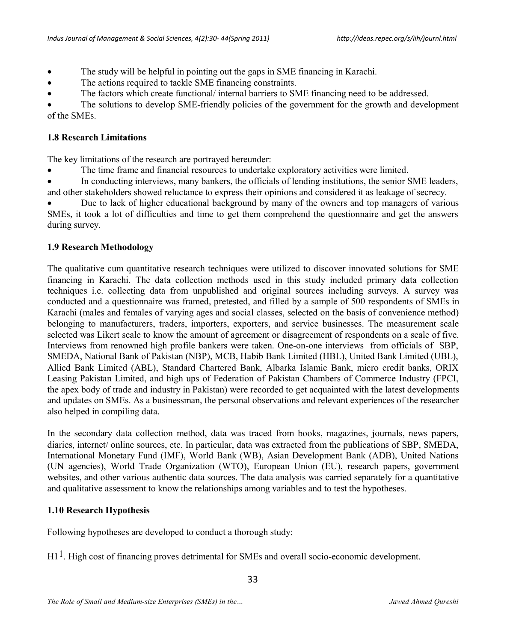- · The study will be helpful in pointing out the gaps in SME financing in Karachi.
- · The actions required to tackle SME financing constraints.
- · The factors which create functional/ internal barriers to SME financing need to be addressed.

The solutions to develop SME-friendly policies of the government for the growth and development of the SMEs.

## **1.8 Research Limitations**

The key limitations of the research are portrayed hereunder:

· The time frame and financial resources to undertake exploratory activities were limited.

In conducting interviews, many bankers, the officials of lending institutions, the senior SME leaders, and other stakeholders showed reluctance to express their opinions and considered it as leakage of secrecy.

Due to lack of higher educational background by many of the owners and top managers of various SMEs, it took a lot of difficulties and time to get them comprehend the questionnaire and get the answers during survey.

## **1.9 Research Methodology**

The qualitative cum quantitative research techniques were utilized to discover innovated solutions for SME financing in Karachi. The data collection methods used in this study included primary data collection techniques i.e. collecting data from unpublished and original sources including surveys. A survey was conducted and a questionnaire was framed, pretested, and filled by a sample of 500 respondents of SMEs in Karachi (males and females of varying ages and social classes, selected on the basis of convenience method) belonging to manufacturers, traders, importers, exporters, and service businesses. The measurement scale selected was Likert scale to know the amount of agreement or disagreement of respondents on a scale of five. Interviews from renowned high profile bankers were taken. One-on-one interviews from officials of SBP, SMEDA, National Bank of Pakistan (NBP), MCB, Habib Bank Limited (HBL), United Bank Limited (UBL), Allied Bank Limited (ABL), Standard Chartered Bank, Albarka Islamic Bank, micro credit banks, ORIX Leasing Pakistan Limited, and high ups of Federation of Pakistan Chambers of Commerce Industry (FPCI, the apex body of trade and industry in Pakistan) were recorded to get acquainted with the latest developments and updates on SMEs. As a businessman, the personal observations and relevant experiences of the researcher also helped in compiling data.

In the secondary data collection method, data was traced from books, magazines, journals, news papers, diaries, internet/ online sources, etc. In particular, data was extracted from the publications of SBP, SMEDA, International Monetary Fund (IMF), World Bank (WB), Asian Development Bank (ADB), United Nations (UN agencies), World Trade Organization (WTO), European Union (EU), research papers, government websites, and other various authentic data sources. The data analysis was carried separately for a quantitative and qualitative assessment to know the relationships among variables and to test the hypotheses.

# **1.10 Research Hypothesis**

Following hypotheses are developed to conduct a thorough study:

H1<sup>1</sup>. High cost of financing proves detrimental for SMEs and overall socio-economic development.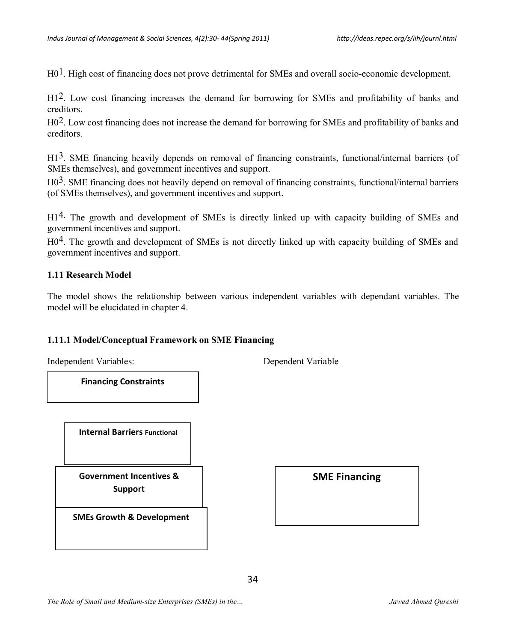$H_0^1$ . High cost of financing does not prove detrimental for SMEs and overall socio-economic development.

H12. Low cost financing increases the demand for borrowing for SMEs and profitability of banks and creditors.

H02. Low cost financing does not increase the demand for borrowing for SMEs and profitability of banks and creditors.

H1<sup>3</sup>. SME financing heavily depends on removal of financing constraints, functional/internal barriers (of SMEs themselves), and government incentives and support.

H03. SME financing does not heavily depend on removal of financing constraints, functional/internal barriers (of SMEs themselves), and government incentives and support.

H14. The growth and development of SMEs is directly linked up with capacity building of SMEs and government incentives and support.

H0<sup>4</sup>. The growth and development of SMEs is not directly linked up with capacity building of SMEs and government incentives and support.

#### **1.11 Research Model**

The model shows the relationship between various independent variables with dependant variables. The model will be elucidated in chapter 4.

#### **1.11.1 Model/Conceptual Framework on SME Financing**

Independent Variables: Dependent Variable

**Financing Constraints**

 **Internal Barriers Functional**

**Government Incentives &**   $\qquad$  **SME Financing Support**

**SMEs Growth & Development**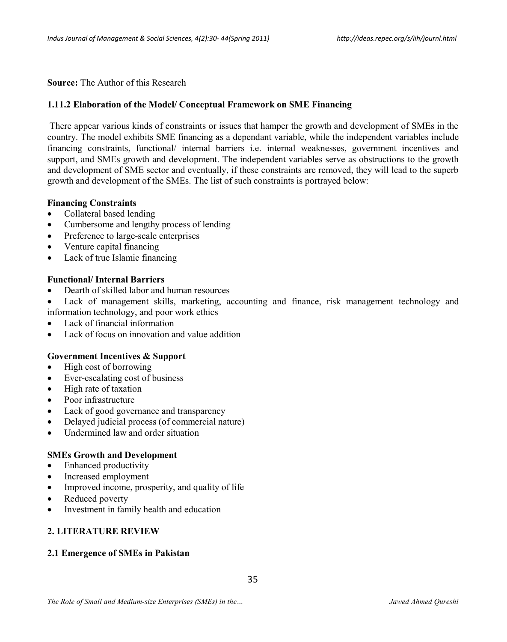**Source:** The Author of this Research

### **1.11.2 Elaboration of the Model/ Conceptual Framework on SME Financing**

There appear various kinds of constraints or issues that hamper the growth and development of SMEs in the country. The model exhibits SME financing as a dependant variable, while the independent variables include financing constraints, functional/ internal barriers i.e. internal weaknesses, government incentives and support, and SMEs growth and development. The independent variables serve as obstructions to the growth and development of SME sector and eventually, if these constraints are removed, they will lead to the superb growth and development of the SMEs. The list of such constraints is portrayed below:

### **Financing Constraints**

- Collateral based lending
- Cumbersome and lengthy process of lending
- Preference to large-scale enterprises
- Venture capital financing
- Lack of true Islamic financing

### **Functional/ Internal Barriers**

- · Dearth of skilled labor and human resources
- Lack of management skills, marketing, accounting and finance, risk management technology and information technology, and poor work ethics
- · Lack of financial information
- Lack of focus on innovation and value addition

### **Government Incentives & Support**

- · High cost of borrowing
- Ever-escalating cost of business
- High rate of taxation
- Poor infrastructure
- Lack of good governance and transparency
- Delayed judicial process (of commercial nature)
- Undermined law and order situation

### **SMEs Growth and Development**

- Enhanced productivity
- Increased employment
- Improved income, prosperity, and quality of life
- Reduced poverty
- Investment in family health and education

### **2. LITERATURE REVIEW**

# **2.1 Emergence of SMEs in Pakistan**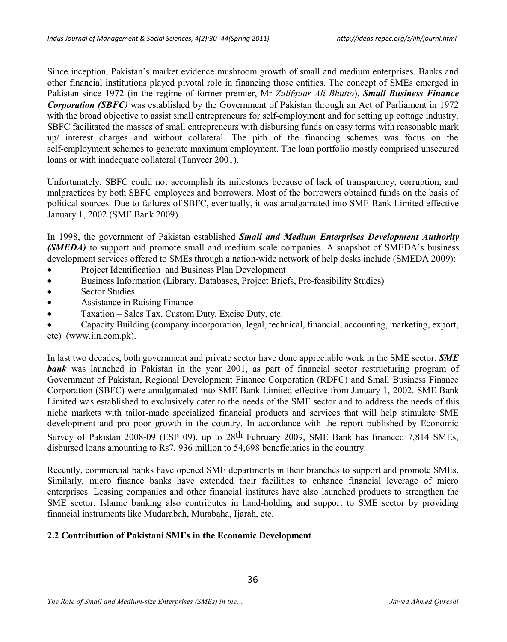Since inception, Pakistan's market evidence mushroom growth of small and medium enterprises. Banks and other financial institutions played pivotal role in financing those entities. The concept of SMEs emerged in Pakistan since 1972 (in the regime of former premier, Mr *Zulifquar Ali Bhutto*). *Small Business Finance Corporation (SBFC)* was established by the Government of Pakistan through an Act of Parliament in 1972 with the broad objective to assist small entrepreneurs for self-employment and for setting up cottage industry. SBFC facilitated the masses of small entrepreneurs with disbursing funds on easy terms with reasonable mark up/ interest charges and without collateral. The pith of the financing schemes was focus on the self-employment schemes to generate maximum employment. The loan portfolio mostly comprised unsecured loans or with inadequate collateral (Tanveer 2001).

Unfortunately, SBFC could not accomplish its milestones because of lack of transparency, corruption, and malpractices by both SBFC employees and borrowers. Most of the borrowers obtained funds on the basis of political sources. Due to failures of SBFC, eventually, it was amalgamated into SME Bank Limited effective January 1, 2002 (SME Bank 2009).

In 1998, the government of Pakistan established *Small and Medium Enterprises Development Authority (SMEDA)* to support and promote small and medium scale companies. A snapshot of SMEDA's business development services offered to SMEs through a nation-wide network of help desks include (SMEDA 2009):

- Project Identification and Business Plan Development
- · Business Information (Library, Databases, Project Briefs, Pre-feasibility Studies)
- Sector Studies
- **Assistance in Raising Finance**
- Taxation Sales Tax, Custom Duty, Excise Duty, etc.

· Capacity Building (company incorporation, legal, technical, financial, accounting, marketing, export, etc) (www.iin.com.pk).

In last two decades, both government and private sector have done appreciable work in the SME sector. *SME* **bank** was launched in Pakistan in the year 2001, as part of financial sector restructuring program of Government of Pakistan, Regional Development Finance Corporation (RDFC) and Small Business Finance Corporation (SBFC) were amalgamated into SME Bank Limited effective from January 1, 2002. SME Bank Limited was established to exclusively cater to the needs of the SME sector and to address the needs of this niche markets with tailor-made specialized financial products and services that will help stimulate SME development and pro poor growth in the country. In accordance with the report published by Economic Survey of Pakistan 2008-09 (ESP 09), up to 28<sup>th</sup> February 2009, SME Bank has financed 7,814 SMEs, disbursed loans amounting to Rs7, 936 million to 54,698 beneficiaries in the country.

Recently, commercial banks have opened SME departments in their branches to support and promote SMEs. Similarly, micro finance banks have extended their facilities to enhance financial leverage of micro enterprises. Leasing companies and other financial institutes have also launched products to strengthen the SME sector. Islamic banking also contributes in hand-holding and support to SME sector by providing financial instruments like Mudarabah, Murabaha, Ijarah, etc.

### **2.2 Contribution of Pakistani SMEs in the Economic Development**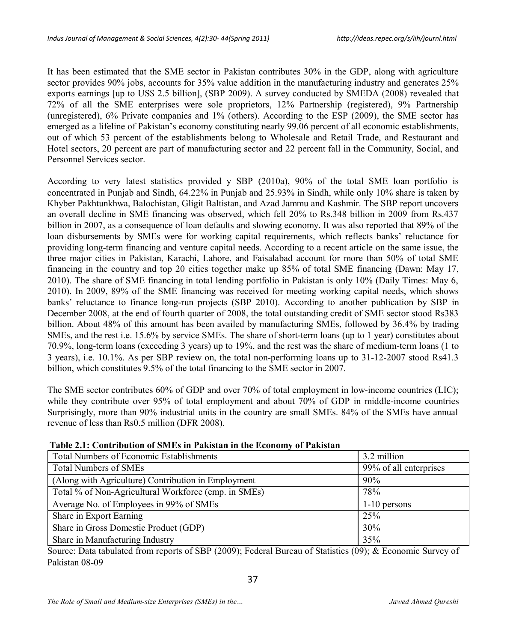It has been estimated that the SME sector in Pakistan contributes 30% in the GDP, along with agriculture sector provides 90% jobs, accounts for 35% value addition in the manufacturing industry and generates 25% exports earnings [up to US\$ 2.5 billion], (SBP 2009). A survey conducted by SMEDA (2008) revealed that 72% of all the SME enterprises were sole proprietors, 12% Partnership (registered), 9% Partnership (unregistered), 6% Private companies and 1% (others). According to the ESP (2009), the SME sector has emerged as a lifeline of Pakistan's economy constituting nearly 99.06 percent of all economic establishments, out of which 53 percent of the establishments belong to Wholesale and Retail Trade, and Restaurant and Hotel sectors, 20 percent are part of manufacturing sector and 22 percent fall in the Community, Social, and Personnel Services sector.

According to very latest statistics provided y SBP (2010a), 90% of the total SME loan portfolio is concentrated in Punjab and Sindh, 64.22% in Punjab and 25.93% in Sindh, while only 10% share is taken by Khyber Pakhtunkhwa, Balochistan, Gligit Baltistan, and Azad Jammu and Kashmir. The SBP report uncovers an overall decline in SME financing was observed, which fell 20% to Rs.348 billion in 2009 from Rs.437 billion in 2007, as a consequence of loan defaults and slowing economy. It was also reported that 89% of the loan disbursements by SMEs were for working capital requirements, which reflects banks' reluctance for providing long-term financing and venture capital needs. According to a recent article on the same issue, the three major cities in Pakistan, Karachi, Lahore, and Faisalabad account for more than 50% of total SME financing in the country and top 20 cities together make up 85% of total SME financing (Dawn: May 17, 2010). The share of SME financing in total lending portfolio in Pakistan is only 10% (Daily Times: May 6, 2010). In 2009, 89% of the SME financing was received for meeting working capital needs, which shows banks' reluctance to finance long-run projects (SBP 2010). According to another publication by SBP in December 2008, at the end of fourth quarter of 2008, the total outstanding credit of SME sector stood Rs383 billion. About 48% of this amount has been availed by manufacturing SMEs, followed by 36.4% by trading SMEs, and the rest i.e. 15.6% by service SMEs. The share of short-term loans (up to 1 year) constitutes about 70.9%, long-term loans (exceeding 3 years) up to 19%, and the rest was the share of medium-term loans (1 to 3 years), i.e. 10.1%. As per SBP review on, the total non-performing loans up to 31-12-2007 stood Rs41.3 billion, which constitutes 9.5% of the total financing to the SME sector in 2007.

The SME sector contributes 60% of GDP and over 70% of total employment in low-income countries (LIC); while they contribute over 95% of total employment and about 70% of GDP in middle-income countries Surprisingly, more than 90% industrial units in the country are small SMEs. 84% of the SMEs have annual revenue of less than Rs0.5 million (DFR 2008).

| radit 2.1. Contribution of Sites in Fakistan in the Economy of Fakistan |                        |  |  |  |  |  |
|-------------------------------------------------------------------------|------------------------|--|--|--|--|--|
| <b>Total Numbers of Economic Establishments</b>                         | 3.2 million            |  |  |  |  |  |
| <b>Total Numbers of SMEs</b>                                            | 99% of all enterprises |  |  |  |  |  |
| (Along with Agriculture) Contribution in Employment                     | 90%                    |  |  |  |  |  |
| Total % of Non-Agricultural Workforce (emp. in SMEs)                    | 78%                    |  |  |  |  |  |
| Average No. of Employees in 99% of SMEs                                 | $1-10$ persons         |  |  |  |  |  |
| Share in Export Earning                                                 | 25%                    |  |  |  |  |  |
| Share in Gross Domestic Product (GDP)                                   | 30%                    |  |  |  |  |  |
| Share in Manufacturing Industry                                         | 35%                    |  |  |  |  |  |

#### **Table 2.1: Contribution of SMEs in Pakistan in the Economy of Pakistan**

Source: Data tabulated from reports of SBP (2009); Federal Bureau of Statistics (09); & Economic Survey of Pakistan 08-09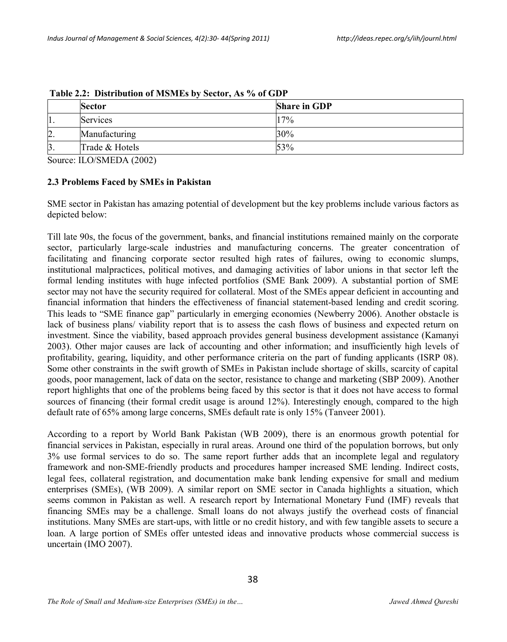|                  | <b>Sector</b>   | <b>Share in GDP</b> |
|------------------|-----------------|---------------------|
| Ι1.              | <b>Services</b> | 17%                 |
| $\overline{2}$ . | Manufacturing   | 30%                 |
| $\beta$          | Trade & Hotels  | 53%                 |

 **Table 2.2: Distribution of MSMEs by Sector, As % of GDP**

Source: ILO/SMEDA (2002)

#### **2.3 Problems Faced by SMEs in Pakistan**

SME sector in Pakistan has amazing potential of development but the key problems include various factors as depicted below:

Till late 90s, the focus of the government, banks, and financial institutions remained mainly on the corporate sector, particularly large-scale industries and manufacturing concerns. The greater concentration of facilitating and financing corporate sector resulted high rates of failures, owing to economic slumps, institutional malpractices, political motives, and damaging activities of labor unions in that sector left the formal lending institutes with huge infected portfolios (SME Bank 2009). A substantial portion of SME sector may not have the security required for collateral. Most of the SMEs appear deficient in accounting and financial information that hinders the effectiveness of financial statement-based lending and credit scoring. This leads to "SME finance gap" particularly in emerging economies (Newberry 2006). Another obstacle is lack of business plans/ viability report that is to assess the cash flows of business and expected return on investment. Since the viability, based approach provides general business development assistance (Kamanyi 2003). Other major causes are lack of accounting and other information; and insufficiently high levels of profitability, gearing, liquidity, and other performance criteria on the part of funding applicants (ISRP 08). Some other constraints in the swift growth of SMEs in Pakistan include shortage of skills, scarcity of capital goods, poor management, lack of data on the sector, resistance to change and marketing (SBP 2009). Another report highlights that one of the problems being faced by this sector is that it does not have access to formal sources of financing (their formal credit usage is around 12%). Interestingly enough, compared to the high default rate of 65% among large concerns, SMEs default rate is only 15% (Tanveer 2001).

According to a report by World Bank Pakistan (WB 2009), there is an enormous growth potential for financial services in Pakistan, especially in rural areas. Around one third of the population borrows, but only 3% use formal services to do so. The same report further adds that an incomplete legal and regulatory framework and non-SME-friendly products and procedures hamper increased SME lending. Indirect costs, legal fees, collateral registration, and documentation make bank lending expensive for small and medium enterprises (SMEs), (WB 2009). A similar report on SME sector in Canada highlights a situation, which seems common in Pakistan as well. A research report by International Monetary Fund (IMF) reveals that financing SMEs may be a challenge. Small loans do not always justify the overhead costs of financial institutions. Many SMEs are start-ups, with little or no credit history, and with few tangible assets to secure a loan. A large portion of SMEs offer untested ideas and innovative products whose commercial success is uncertain (IMO 2007).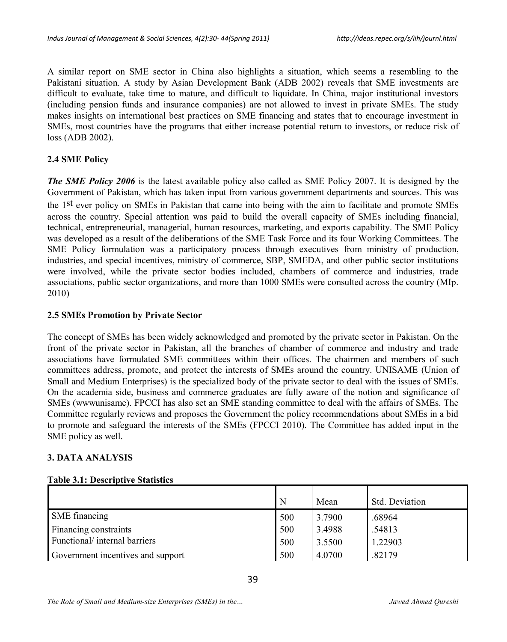A similar report on SME sector in China also highlights a situation, which seems a resembling to the Pakistani situation. A study by Asian Development Bank (ADB 2002) reveals that SME investments are difficult to evaluate, take time to mature, and difficult to liquidate. In China, major institutional investors (including pension funds and insurance companies) are not allowed to invest in private SMEs. The study makes insights on international best practices on SME financing and states that to encourage investment in SMEs, most countries have the programs that either increase potential return to investors, or reduce risk of loss (ADB 2002).

### **2.4 SME Policy**

*The SME Policy 2006* is the latest available policy also called as SME Policy 2007. It is designed by the Government of Pakistan, which has taken input from various government departments and sources. This was the 1st ever policy on SMEs in Pakistan that came into being with the aim to facilitate and promote SMEs across the country. Special attention was paid to build the overall capacity of SMEs including financial, technical, entrepreneurial, managerial, human resources, marketing, and exports capability. The SME Policy was developed as a result of the deliberations of the SME Task Force and its four Working Committees. The SME Policy formulation was a participatory process through executives from ministry of production, industries, and special incentives, ministry of commerce, SBP, SMEDA, and other public sector institutions were involved, while the private sector bodies included, chambers of commerce and industries, trade associations, public sector organizations, and more than 1000 SMEs were consulted across the country (MIp. 2010)

### **2.5 SMEs Promotion by Private Sector**

The concept of SMEs has been widely acknowledged and promoted by the private sector in Pakistan. On the front of the private sector in Pakistan, all the branches of chamber of commerce and industry and trade associations have formulated SME committees within their offices. The chairmen and members of such committees address, promote, and protect the interests of SMEs around the country. UNISAME (Union of Small and Medium Enterprises) is the specialized body of the private sector to deal with the issues of SMEs. On the academia side, business and commerce graduates are fully aware of the notion and significance of SMEs (wwwunisame). FPCCI has also set an SME standing committee to deal with the affairs of SMEs. The Committee regularly reviews and proposes the Government the policy recommendations about SMEs in a bid to promote and safeguard the interests of the SMEs (FPCCI 2010). The Committee has added input in the SME policy as well.

### **3. DATA ANALYSIS**

### **Table 3.1: Descriptive Statistics**

|                                   | N   | Mean   | Std. Deviation |
|-----------------------------------|-----|--------|----------------|
| SME financing                     | 500 | 3.7900 | .68964         |
| Financing constraints             | 500 | 3.4988 | .54813         |
| Functional/internal barriers      | 500 | 3.5500 | 1.22903        |
| Government incentives and support | 500 | 4.0700 | .82179         |

*The Role of Small and Medium-size Enterprises (SMEs) in the… Jawed Ahmed Qureshi*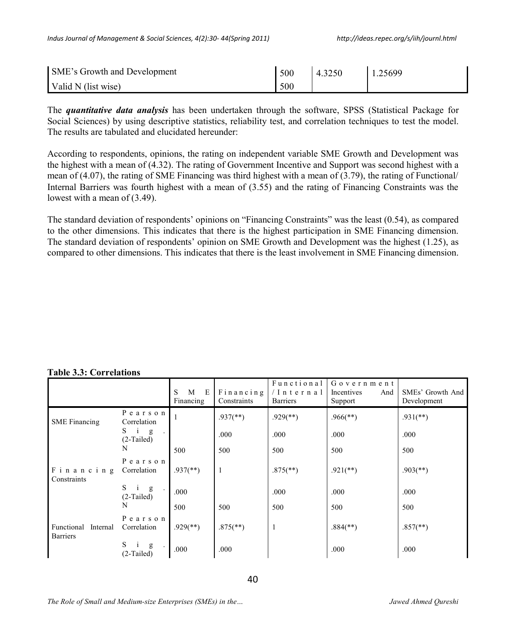| <b>SME's Growth and Development</b> | 500 | 4.3250 | 1.25699 |
|-------------------------------------|-----|--------|---------|
| Valid N (list wise)                 | 500 |        |         |

The *quantitative data analysis* has been undertaken through the software, SPSS (Statistical Package for Social Sciences) by using descriptive statistics, reliability test, and correlation techniques to test the model. The results are tabulated and elucidated hereunder:

According to respondents, opinions, the rating on independent variable SME Growth and Development was the highest with a mean of (4.32). The rating of Government Incentive and Support was second highest with a mean of (4.07), the rating of SME Financing was third highest with a mean of (3.79), the rating of Functional/ Internal Barriers was fourth highest with a mean of (3.55) and the rating of Financing Constraints was the lowest with a mean of (3.49).

The standard deviation of respondents' opinions on "Financing Constraints" was the least (0.54), as compared to the other dimensions. This indicates that there is the highest participation in SME Financing dimension. The standard deviation of respondents' opinion on SME Growth and Development was the highest (1.25), as compared to other dimensions. This indicates that there is the least involvement in SME Financing dimension.

|  | <b>Table 3.3: Correlations</b> |
|--|--------------------------------|
|  |                                |

|                                           |                                         | S<br>M<br>E<br>Financing | Financing<br>Constraints | Functional<br>/Internal<br><b>Barriers</b> | Government<br>Incentives<br>And<br>Support | SMEs' Growth And<br>Development |
|-------------------------------------------|-----------------------------------------|--------------------------|--------------------------|--------------------------------------------|--------------------------------------------|---------------------------------|
| <b>SME</b> Financing                      | Pearson<br>Correlation                  |                          | $.937$ <sup>**</sup> )   | $.929$ <sup>(**)</sup> )                   | $.966$ <sup>(**)</sup> )                   | $.931$ (**)                     |
|                                           | S.<br>$\mathbf{i}$<br>g<br>$(2-Tailed)$ |                          | .000                     | .000                                       | .000                                       | .000                            |
|                                           | N                                       | 500                      | 500                      | 500                                        | 500                                        | 500                             |
| Financing<br>Constraints                  | Pearson<br>Correlation                  | $.937$ <sup>(**)</sup> ) | 1                        | $.875$ <sup>**</sup> )                     | $.921$ (**)                                | $.903$ <sup>(**)</sup> )        |
|                                           | S<br>$\mathbf{i}$<br>g<br>$(2-Tailed)$  | .000                     |                          | .000                                       | .000                                       | .000                            |
|                                           | N                                       | 500                      | 500                      | 500                                        | 500                                        | 500                             |
| Functional<br>Internal<br><b>Barriers</b> | Pearson<br>Correlation                  | $.929$ <sup>(**)</sup> ) | $.875$ <sup>**</sup> )   | 1                                          | $.884$ <sup>(**)</sup> )                   | $.857$ <sup>**</sup> )          |
|                                           | S<br>g<br>$(2-Tailed)$                  | .000                     | .000                     |                                            | .000                                       | .000                            |

*The Role of Small and Medium-size Enterprises (SMEs) in the…*  $Jawed Ahmed Oureshi$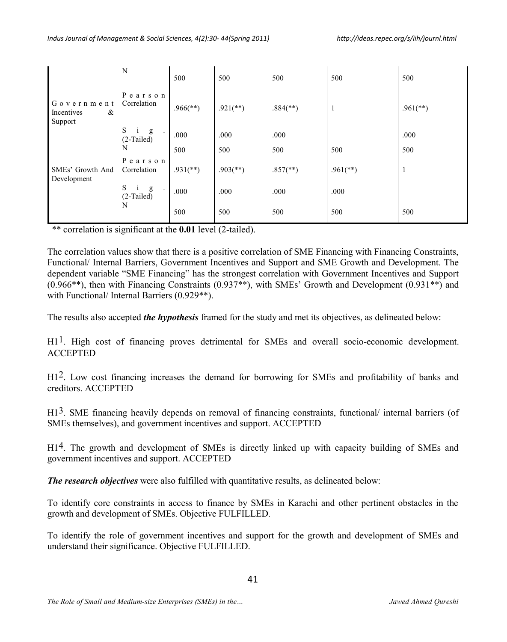|                                          | N                                      | 500                      | 500                      | 500                      | 500                      | 500         |
|------------------------------------------|----------------------------------------|--------------------------|--------------------------|--------------------------|--------------------------|-------------|
| Government<br>&<br>Incentives<br>Support | Pearson<br>Correlation                 | $.966$ <sup>(**)</sup> ) | $.921$ (**)              | $.884$ <sup>(**)</sup> ) | - 1                      | $.961$ (**) |
|                                          | S<br>$\mathbf{i}$<br>g<br>$(2-Tailed)$ | .000                     | .000                     | .000                     |                          | .000        |
|                                          | N                                      | 500                      | 500                      | 500                      | 500                      | 500         |
| SMEs' Growth And<br>Development          | Pearson<br>Correlation                 | $.931$ (**)              | $.903$ <sup>(**)</sup> ) | $.857$ <sup>**</sup> )   | $.961$ <sup>(**)</sup> ) | 1           |
|                                          | S<br>g<br>$(2-Tailed)$                 | .000                     | .000                     | .000                     | .000                     |             |
|                                          | N                                      | 500                      | 500                      | 500                      | 500                      | 500         |

\*\* correlation is significant at the **0.01** level (2-tailed).

The correlation values show that there is a positive correlation of SME Financing with Financing Constraints, Functional/ Internal Barriers, Government Incentives and Support and SME Growth and Development. The dependent variable "SME Financing" has the strongest correlation with Government Incentives and Support (0.966\*\*), then with Financing Constraints (0.937\*\*), with SMEs' Growth and Development (0.931\*\*) and with Functional/ Internal Barriers (0.929<sup>\*\*</sup>).

The results also accepted *the hypothesis* framed for the study and met its objectives, as delineated below:

 $H1<sup>1</sup>$ . High cost of financing proves detrimental for SMEs and overall socio-economic development. ACCEPTED

H12. Low cost financing increases the demand for borrowing for SMEs and profitability of banks and creditors. ACCEPTED

H1<sup>3</sup>. SME financing heavily depends on removal of financing constraints, functional/ internal barriers (of SMEs themselves), and government incentives and support. ACCEPTED

H14. The growth and development of SMEs is directly linked up with capacity building of SMEs and government incentives and support. ACCEPTED

*The research objectives* were also fulfilled with quantitative results, as delineated below:

To identify core constraints in access to finance by SMEs in Karachi and other pertinent obstacles in the growth and development of SMEs. Objective FULFILLED.

To identify the role of government incentives and support for the growth and development of SMEs and understand their significance. Objective FULFILLED.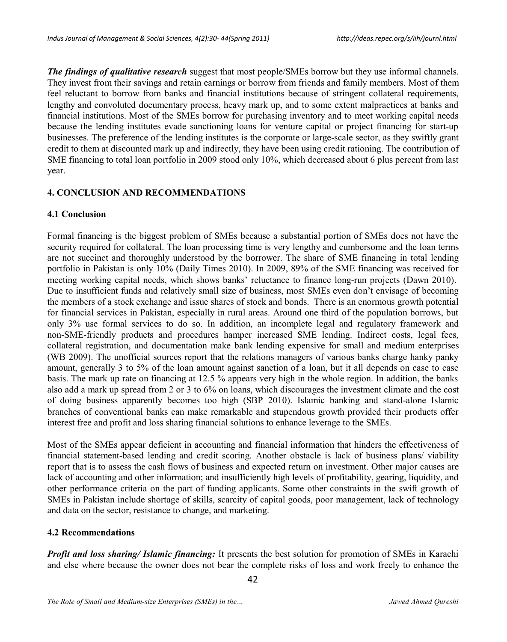*The findings of qualitative research* suggest that most people/SMEs borrow but they use informal channels. They invest from their savings and retain earnings or borrow from friends and family members. Most of them feel reluctant to borrow from banks and financial institutions because of stringent collateral requirements, lengthy and convoluted documentary process, heavy mark up, and to some extent malpractices at banks and financial institutions. Most of the SMEs borrow for purchasing inventory and to meet working capital needs because the lending institutes evade sanctioning loans for venture capital or project financing for start-up businesses. The preference of the lending institutes is the corporate or large-scale sector, as they swiftly grant credit to them at discounted mark up and indirectly, they have been using credit rationing. The contribution of SME financing to total loan portfolio in 2009 stood only 10%, which decreased about 6 plus percent from last year.

### **4. CONCLUSION AND RECOMMENDATIONS**

#### **4.1 Conclusion**

Formal financing is the biggest problem of SMEs because a substantial portion of SMEs does not have the security required for collateral. The loan processing time is very lengthy and cumbersome and the loan terms are not succinct and thoroughly understood by the borrower. The share of SME financing in total lending portfolio in Pakistan is only 10% (Daily Times 2010). In 2009, 89% of the SME financing was received for meeting working capital needs, which shows banks' reluctance to finance long-run projects (Dawn 2010). Due to insufficient funds and relatively small size of business, most SMEs even don't envisage of becoming the members of a stock exchange and issue shares of stock and bonds. There is an enormous growth potential for financial services in Pakistan, especially in rural areas. Around one third of the population borrows, but only 3% use formal services to do so. In addition, an incomplete legal and regulatory framework and non-SME-friendly products and procedures hamper increased SME lending. Indirect costs, legal fees, collateral registration, and documentation make bank lending expensive for small and medium enterprises (WB 2009). The unofficial sources report that the relations managers of various banks charge hanky panky amount, generally 3 to 5% of the loan amount against sanction of a loan, but it all depends on case to case basis. The mark up rate on financing at 12.5 % appears very high in the whole region. In addition, the banks also add a mark up spread from 2 or 3 to 6% on loans, which discourages the investment climate and the cost of doing business apparently becomes too high (SBP 2010). Islamic banking and stand-alone Islamic branches of conventional banks can make remarkable and stupendous growth provided their products offer interest free and profit and loss sharing financial solutions to enhance leverage to the SMEs.

Most of the SMEs appear deficient in accounting and financial information that hinders the effectiveness of financial statement-based lending and credit scoring. Another obstacle is lack of business plans/ viability report that is to assess the cash flows of business and expected return on investment. Other major causes are lack of accounting and other information; and insufficiently high levels of profitability, gearing, liquidity, and other performance criteria on the part of funding applicants. Some other constraints in the swift growth of SMEs in Pakistan include shortage of skills, scarcity of capital goods, poor management, lack of technology and data on the sector, resistance to change, and marketing.

### **4.2 Recommendations**

*Profit and loss sharing/ Islamic financing:* It presents the best solution for promotion of SMEs in Karachi and else where because the owner does not bear the complete risks of loss and work freely to enhance the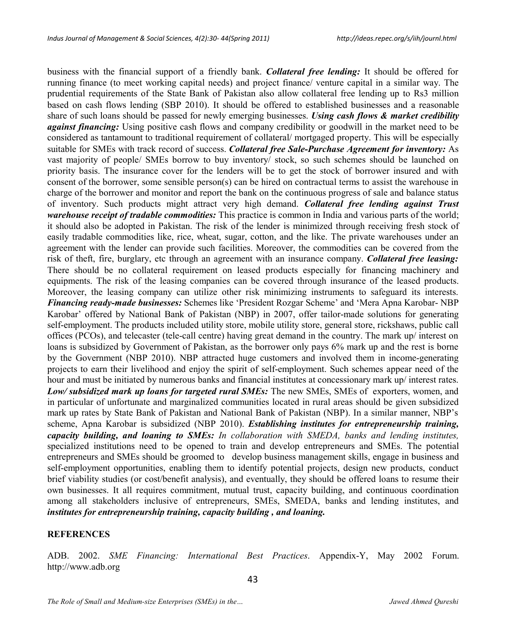business with the financial support of a friendly bank. *Collateral free lending:* It should be offered for running finance (to meet working capital needs) and project finance/ venture capital in a similar way. The prudential requirements of the State Bank of Pakistan also allow collateral free lending up to Rs3 million based on cash flows lending (SBP 2010). It should be offered to established businesses and a reasonable share of such loans should be passed for newly emerging businesses. *Using cash flows & market credibility against financing:* Using positive cash flows and company credibility or goodwill in the market need to be considered as tantamount to traditional requirement of collateral/ mortgaged property. This will be especially suitable for SMEs with track record of success. *Collateral free Sale-Purchase Agreement for inventory:* As vast majority of people/ SMEs borrow to buy inventory/ stock, so such schemes should be launched on priority basis. The insurance cover for the lenders will be to get the stock of borrower insured and with consent of the borrower, some sensible person(s) can be hired on contractual terms to assist the warehouse in charge of the borrower and monitor and report the bank on the continuous progress of sale and balance status of inventory. Such products might attract very high demand. *Collateral free lending against Trust warehouse receipt of tradable commodities:* This practice is common in India and various parts of the world; it should also be adopted in Pakistan. The risk of the lender is minimized through receiving fresh stock of easily tradable commodities like, rice, wheat, sugar, cotton, and the like. The private warehouses under an agreement with the lender can provide such facilities. Moreover, the commodities can be covered from the risk of theft, fire, burglary, etc through an agreement with an insurance company. *Collateral free leasing:* There should be no collateral requirement on leased products especially for financing machinery and equipments. The risk of the leasing companies can be covered through insurance of the leased products. Moreover, the leasing company can utilize other risk minimizing instruments to safeguard its interests. *Financing ready-made businesses:* Schemes like 'President Rozgar Scheme' and 'Mera Apna Karobar- NBP Karobar' offered by National Bank of Pakistan (NBP) in 2007, offer tailor-made solutions for generating self-employment. The products included utility store, mobile utility store, general store, rickshaws, public call offices (PCOs), and telecaster (tele-call centre) having great demand in the country. The mark up/ interest on loans is subsidized by Government of Pakistan, as the borrower only pays 6% mark up and the rest is borne by the Government (NBP 2010). NBP attracted huge customers and involved them in income-generating projects to earn their livelihood and enjoy the spirit of self-employment. Such schemes appear need of the hour and must be initiated by numerous banks and financial institutes at concessionary mark up/ interest rates. *Low/ subsidized mark up loans for targeted rural SMEs:* The new SMEs, SMEs of exporters, women, and in particular of unfortunate and marginalized communities located in rural areas should be given subsidized mark up rates by State Bank of Pakistan and National Bank of Pakistan (NBP). In a similar manner, NBP's scheme, Apna Karobar is subsidized (NBP 2010). *Establishing institutes for entrepreneurship training, capacity building, and loaning to SMEs: In collaboration with SMEDA, banks and lending institutes,* specialized institutions need to be opened to train and develop entrepreneurs and SMEs. The potential entrepreneurs and SMEs should be groomed to develop business management skills, engage in business and self-employment opportunities, enabling them to identify potential projects, design new products, conduct brief viability studies (or cost/benefit analysis), and eventually, they should be offered loans to resume their own businesses. It all requires commitment, mutual trust, capacity building, and continuous coordination among all stakeholders inclusive of entrepreneurs, SMEs, SMEDA, banks and lending institutes, and *institutes for entrepreneurship training, capacity building , and loaning.*

#### **REFERENCES**

ADB. 2002. *SME Financing: International Best Practices*. Appendix-Y, May 2002 Forum. http://www.adb.org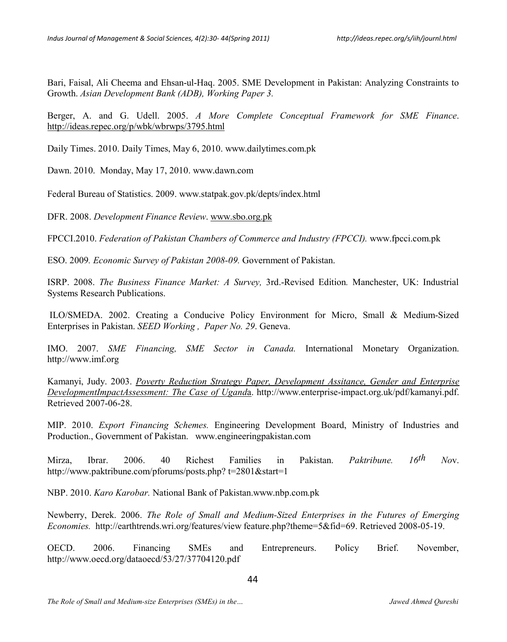Bari, Faisal, Ali Cheema and Ehsan-ul-Haq. 2005. SME Development in Pakistan: Analyzing Constraints to Growth. *Asian Development Bank (ADB), Working Paper 3.*

Berger, A. and G. Udell. 2005. *A More Complete Conceptual Framework for SME Finance*. http://ideas.repec.org/p/wbk/wbrwps/3795.html

Daily Times. 2010. Daily Times, May 6, 2010. www.dailytimes.com.pk

Dawn. 2010. Monday, May 17, 2010. www.dawn.com

Federal Bureau of Statistics. 2009. www.statpak.gov.pk/depts/index.html

DFR. 2008. *Development Finance Review*. www.sbo.org.pk

FPCCI.2010. *Federation of Pakistan Chambers of Commerce and Industry (FPCCI).* www.fpcci.com.pk

ESO. 2009*. Economic Survey of Pakistan 2008-09.* Government of Pakistan.

ISRP. 2008. *The Business Finance Market: A Survey,* 3rd.-Revised Edition*.* Manchester, UK: Industrial Systems Research Publications.

ILO/SMEDA. 2002. Creating a Conducive Policy Environment for Micro, Small & Medium-Sized Enterprises in Pakistan. *SEED Working , Paper No. 29*. Geneva.

IMO. 2007. *SME Financing, SME Sector in Canada.* International Monetary Organization. http://www.imf.org

Kamanyi, Judy. 2003. *Poverty Reduction Strategy Paper, Development Assitance, Gender and Enterprise DevelopmentImpactAssessment: The Case of Ugand*a. http://www.enterprise-impact.org.uk/pdf/kamanyi.pdf. Retrieved 2007-06-28.

MIP. 2010. *Export Financing Schemes.* Engineering Development Board, Ministry of Industries and Production., Government of Pakistan. www.engineeringpakistan.com

Mirza, Ibrar. 2006. 40 Richest Families in Pakistan. *Paktribune. 16th No*v. http://www.paktribune.com/pforums/posts.php? t=2801&start=1

NBP. 2010. *Karo Karobar.* National Bank of Pakistan.www.nbp.com.pk

Newberry, Derek. 2006. *The Role of Small and Medium-Sized Enterprises in the Futures of Emerging Economies.* http://earthtrends.wri.org/features/view feature.php?theme=5&fid=69. Retrieved 2008-05-19.

OECD. 2006. Financing SMEs and Entrepreneurs. Policy Brief. November, http://www.oecd.org/dataoecd/53/27/37704120.pdf